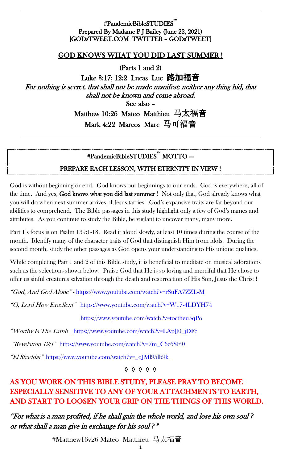#### #PandemicBibleSTUDIES™ i<br>L Prepared By Madame P J Bailey (June 22, 2021) [GODsTWEET.COM TWITTER – GODsTWEET]

### GOD KNOWS WHAT YOU DID LAST SUMMER !

(Parts 1 and 2)

Luke 8:17; 12:2 Lucas Luc 路加福音 For nothing is secret, that shall not be made manifest; neither any thing hid, that shall not be known and come abroad. See also –

> Matthew 10:26 Mateo Matthieu 马太福音 Mark 4:22 Marcos Marc 马可福音

# #PandemicBibleSTUDIES™ MOTTO –-

#### PREPARE EACH LESSON, WITH ETERNITY IN VIEW !

God is without beginning or end. God knows our beginnings to our ends. God is everywhere, all of the time. And yes, God knows what you did last summer ! Not only that, God already knows what you will do when next summer arrives, if Jesus tarries. God's expansive traits are far beyond our abilities to comprehend. The Bible passages in this study highlight only a few of God's names and attributes. As you continue to study the Bible, be vigilant to uncover many, many more.

Part 1's focus is on Psalm 139:1-18. Read it aloud slowly, at least 10 times during the course of the month. Identify many of the character traits of God that distinguish Him from idols. During the second month, study the other passages as God opens your understanding to His unique qualities.

While completing Part 1 and 2 of this Bible study, it is beneficial to meditate on musical adorations such as the selections shown below. Praise God that He is so loving and merciful that He chose to offer us sinful creatures salvation through the death and resurrection of His Son, Jesus the Christ !

"God, And God Alone" - <https://www.youtube.com/watch?v=rSuFA7ZZL-M>

"O, Lord How Excellent" <https://www.youtube.com/watch?v=W17-4LDYH74>

<https://www.youtube.com/watch?v=toctheu5qPo>

"Worthy Is The Lamb" [https://www.youtube.com/watch?v=LAplJ0\\_jDFc](https://www.youtube.com/watch?v=LAplJ0_jDFc)

"Revelation 19:1" [https://www.youtube.com/watch?v=7m\\_C6c6SFi0](https://www.youtube.com/watch?v=7m_C6c6SFi0)

"El Shaddai" [https://www.youtube.com/watch?v=\\_qJMl95lb9k](https://www.youtube.com/watch?v=_qJMl95lb9k)

◊ ◊ ◊ ◊ ◊

## AS YOU WORK ON THIS BIBLE STUDY, PLEASE PRAY TO BECOME ESPECIALLY SENSITIVE TO ANY OF YOUR ATTACHMENTS TO EARTH, AND START TO LOOSEN YOUR GRIP ON THE THINGS OF THIS WORLD.

"For what is a man profited, if he shall gain the whole world, and lose his own soul *?*  or what shall a man give in exchange for his soul *?*"

#Matthew16v26 Mateo Matthieu 马太福音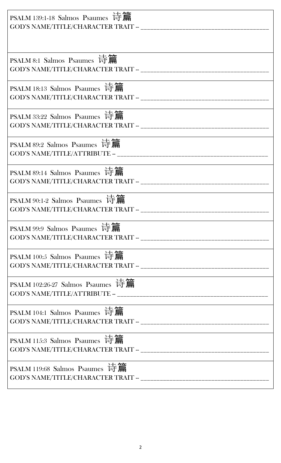| PSALM 139:1-18 Salmos Psaumes 诗篇                                                  |
|-----------------------------------------------------------------------------------|
|                                                                                   |
| PSALM 8:1 Salmos Psaumes 诗篇                                                       |
| PSALM 18:13 Salmos Psaumes 诗篇                                                     |
| PSALM 33:22 Salmos Psaumes 诗篇                                                     |
| PSALM 89:2 Salmos Psaumes 诗篇                                                      |
| PSALM 89:14 Salmos Psaumes 诗篇                                                     |
| PSALM 90:1-2 Salmos Psaumes 诗篇<br>GOD'S NAME/TITLE/CHARACTER TRAIT - ____________ |
| PSALM 99:9 Salmos Psaumes 诗篇                                                      |
| PSALM 100:5 Salmos Psaumes 诗篇                                                     |
| PSALM 102:26-27 Salmos Psaumes 诗篇                                                 |
| PSALM 104:1 Salmos Psaumes 诗篇                                                     |
| PSALM 115:3 Salmos Psaumes 诗篇                                                     |
| PSALM 119:68 Salmos Psaumes 诗篇                                                    |